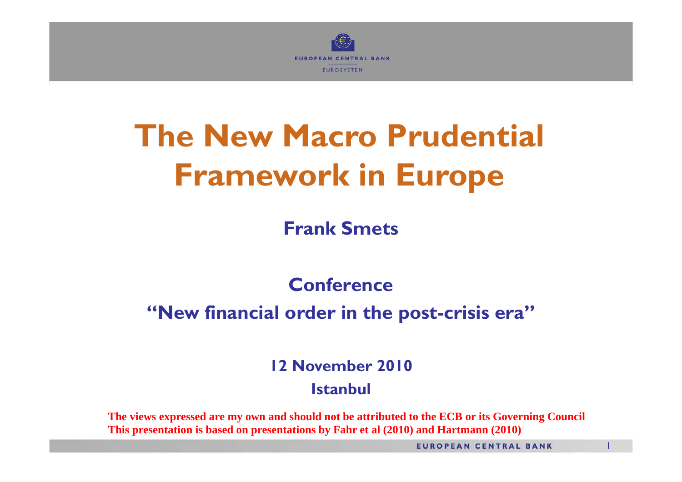

# **The New Macro Prudential Framework in Europe**

**Frank Smets**

#### **Conference**

#### **"New financial order in the post-crisis era"**

**12 November 2010**

#### **Istanbul**

**The views expressed are my own and should not be attributed to the ECB or its Governing Council This presentation is based on presentations by Fahr et al (2010) and Hartmann (2010)**

**EUROPEAN CENTRAL BANK**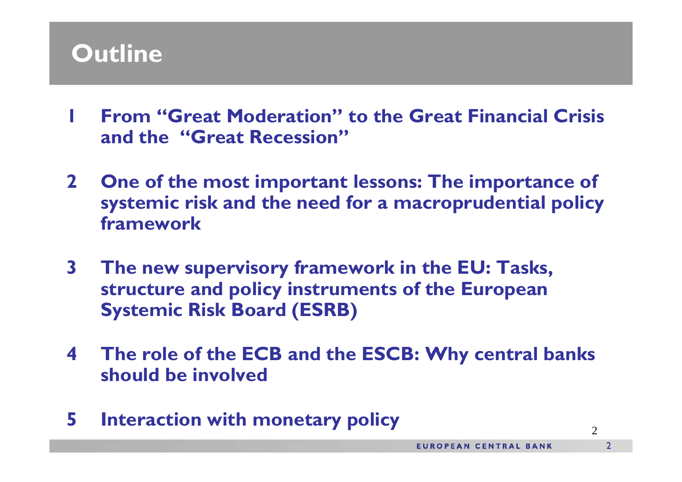## **Outline**

- **1 From "Great Moderation" to the Great Financial Crisis and h "G R i " d the "Great Recession"**
- **2 One of the most important lessons: The importance of systemic risk and the need for a macroprudential policy framework**
- **3 The new supervisory framework in the EU: Tasks, structure and policy instruments of the European Systemic Risk Board (ESRB)**
- **4**The role of the ECB and the ESCB: Why central banks **should be involved**
- **<sup>5</sup> Interaction with monetary policy**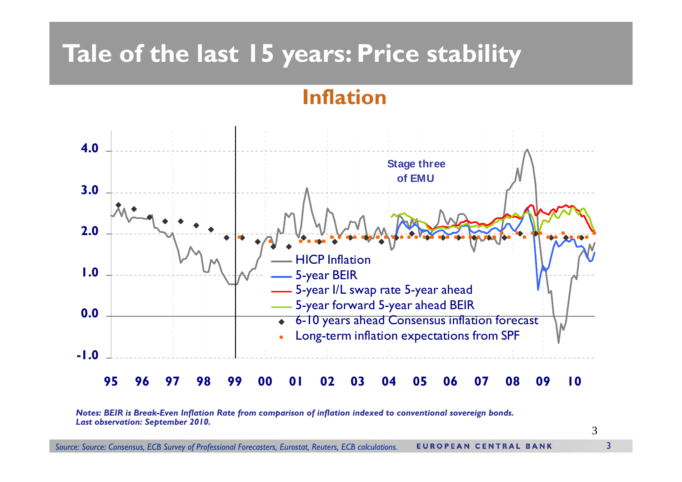### **Tale of the last 15 years: Price stability**

#### **Inflation**



*Notes: BEIR is Break-Even Inflation Rate from comparison of inflation indexed to conventional sovereign bonds. Last observation: September 2010.*

3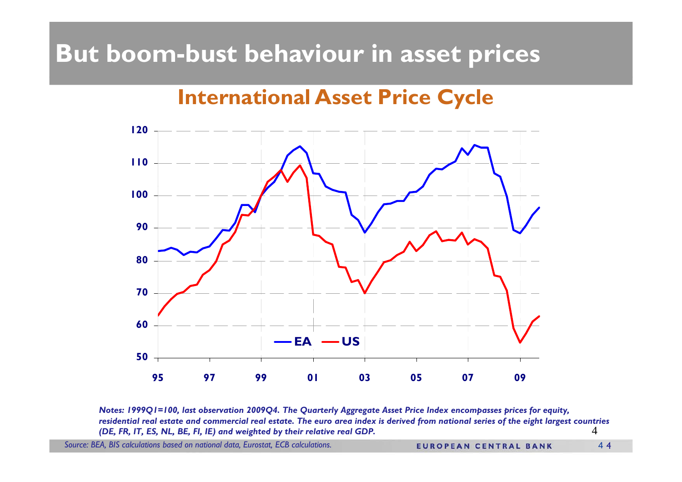## **But boom-bust behaviour in asset prices**

#### **International Asset Price Cycle**



4*Notes: 1999Q1=100, last observation 2009Q4. The Quarterly Aggregate Asset Price Index encompasses prices for equity, residential real estate and commercial real estate. The euro area index is derived from national series of the eight largest countries (DE, FR, IT, ES, NL, BE, FI, IE) and weighted by their relative real GDP.*

*Source: BEA, BIS calculations based on national data, Eurostat, ECB calculations.*

**EUROPEAN CENTRAL BANK** 44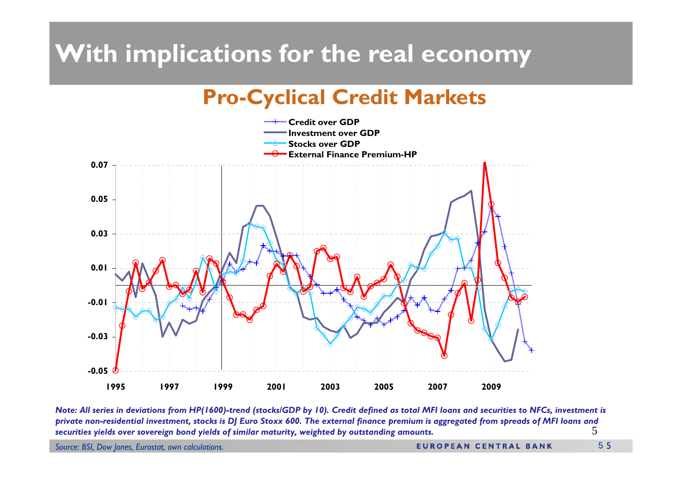## **With implications for the real economy**

#### **Pro-Cyclical Credit Markets**



5*Note: All series in deviations from HP(1600)-trend (stocks/GDP by 10). Credit defined as total MFI loans and securities to NFCs, investment is private non-residential investment, stocks is DJ Euro Stoxx 600. The external finance premium is aggregated from spreads of MFI loans and securities yields over sovereign bond yields of similar maturity, weighted by outstanding amounts.*

*Source: BSI, Dow Jones, Eurostat, own calculations.*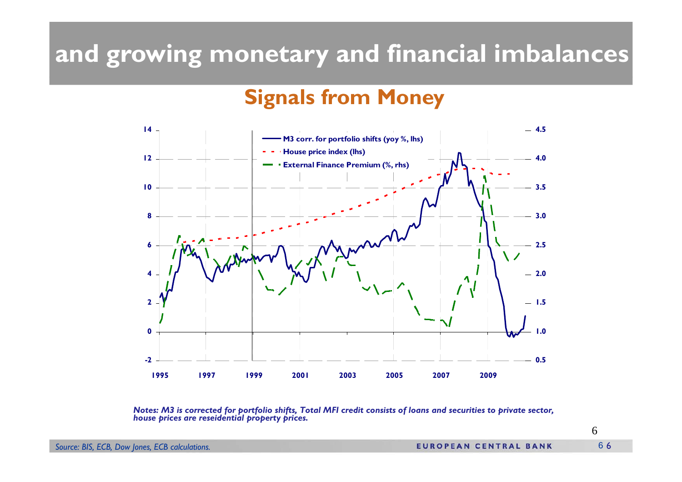### **and growing monetary and financial imbalances**

#### **Signals from Money**



*Notes: M3 is corrected for portfolio shifts, Total MFI credit consists of loans and securities to private sector, house prices are reseidential property prices.*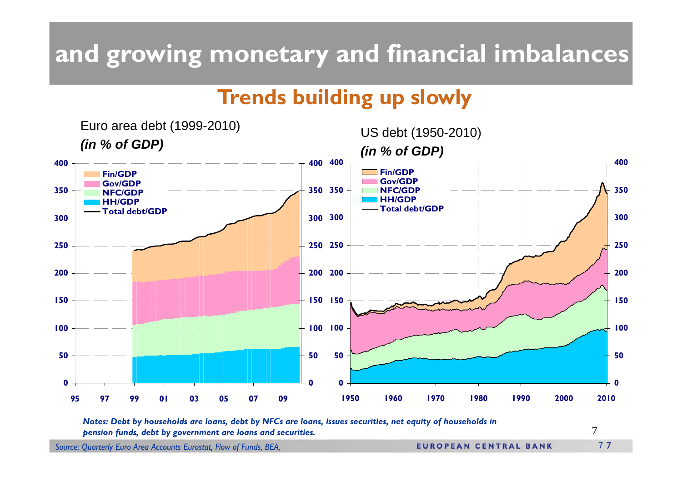## **and growing monetary and financial imbalances**

#### **Trends building up slowly**



*Notes: Debt by households are loans, debt by NFCs are loans, issues securities, net equity of households in pension funds, debt by government are loans and securities.*

7

*Source: Quarterly Euro Area Accounts Eurostat, Flow of Funds, BEA,* 

**EUROPEAN CENTRAL BANK**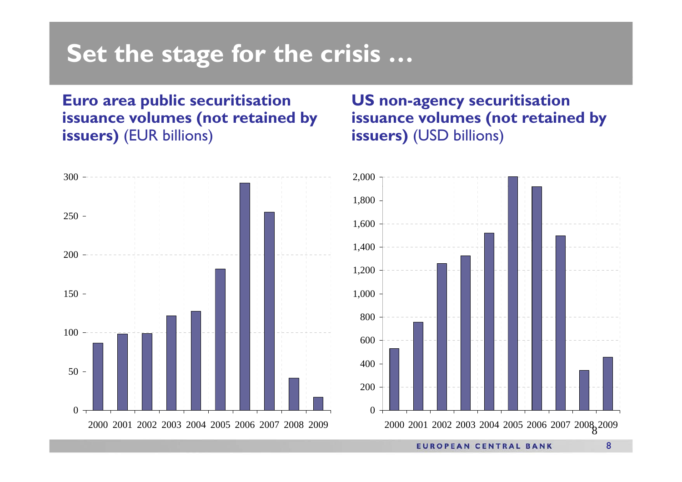#### **Set the stage for the crisis …**

#### **Euro area public securitisation issuance volumes (not retained by issuers)** (EUR billions)

#### **US non-agency securitisation issuance volumes (not retained by issuers)** (USD billions)



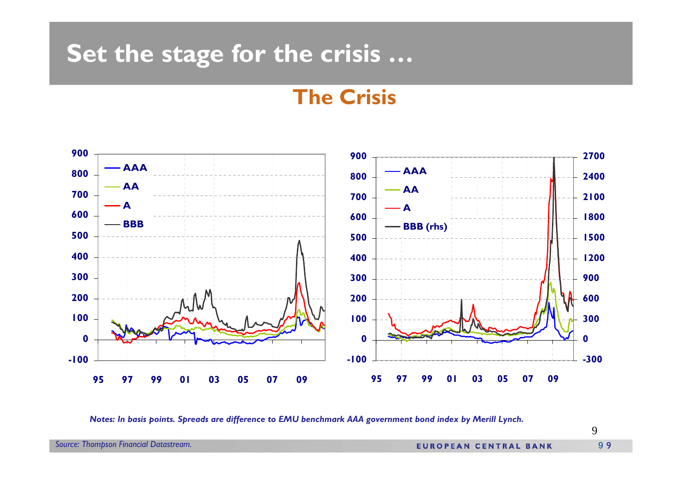#### **Set the stage for the crisis …**

#### **The Crisis**



*Notes: In basis points. Spreads are difference to EMU benchmark AAA government bond index by Merill Lynch.*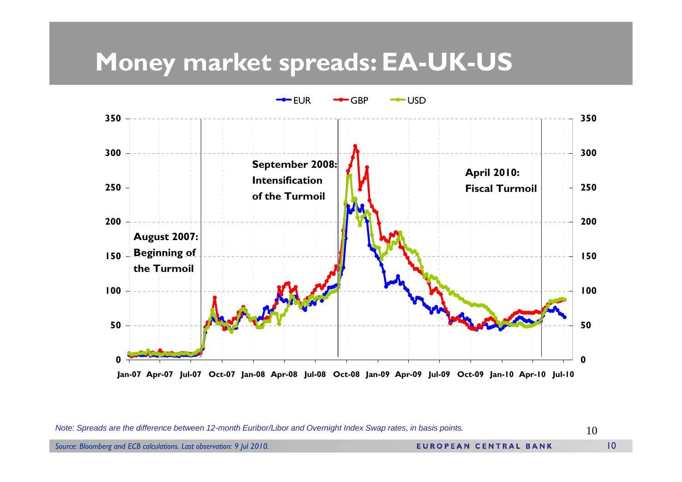#### **Money market spreads: EA-UK-US**



*Note: Spreads are the difference between 12-month Euribor/Libor and Overnight Index Swap rates, in basis points.*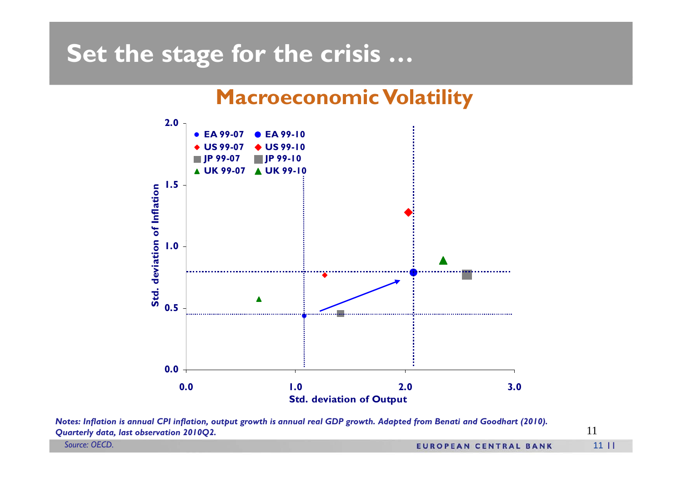#### **Set the stage for the crisis …**

#### **Macroeconomic Volatility**



*Notes: Inflation is annual CPI inflation, output growth is annual real GDP growth. Adapted from Benati and Goodhart (2010). Quarterly data, last observation 2010Q2.*

*Source: OECD.*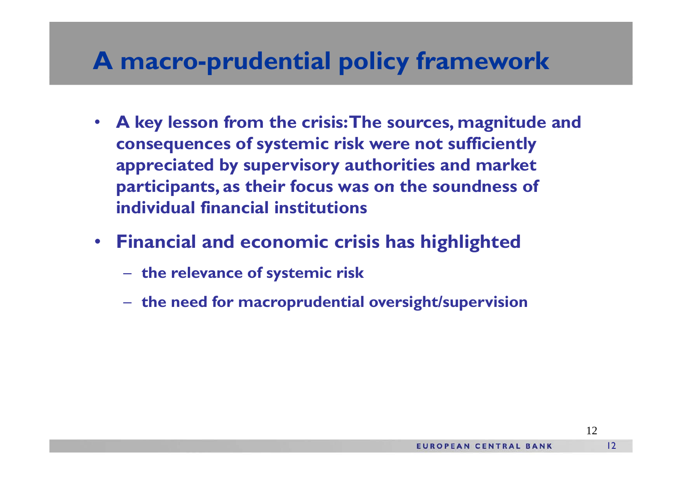#### **A macro-prudential policy framework**

- $\bullet$  **A ke y g lesson from the crisis: The sources, ma gnitude and consequences of systemic risk were not sufficiently appreciated by supervisory authorities and market participants, as their focus was on the soundness of individual financial institutions**
- **Financial and economic crisis has highlighted**
	- **the relevance of systemic risk**
	- **the need for macroprudential oversight/supervision**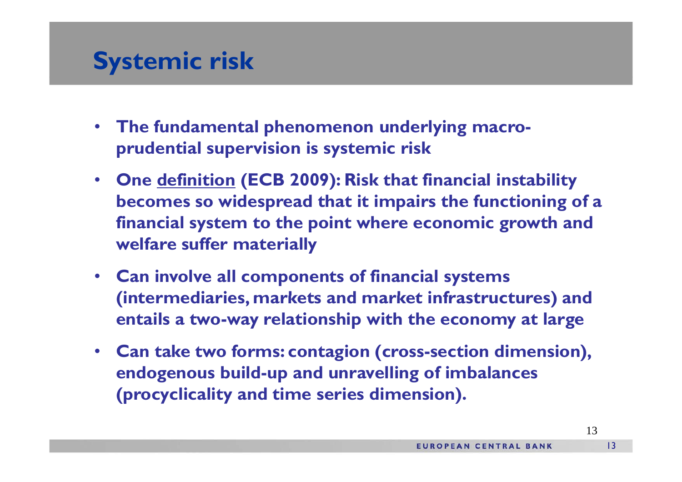#### **Systemic risk**

- **The fundamental phenomenon underlying macroprudential supervision is systemic risk**
- • **One definition () y ECB 2009): Risk that financial instability becomes so widespread that it impairs the functioning of a financial system to the point where economic growth and welf ff t i ll lfare suffer materially**
- **Can involve all components of financial systems (intermediaries markets and market infrastructures) and (intermediaries, markets infrastructures) entails a two-way relationship with the economy at large**
- **Can take two forms: contagion (cross-section dimension) section dimension), endogenous build-up and unravelling of imbalances (procyclicality and time series dimension).**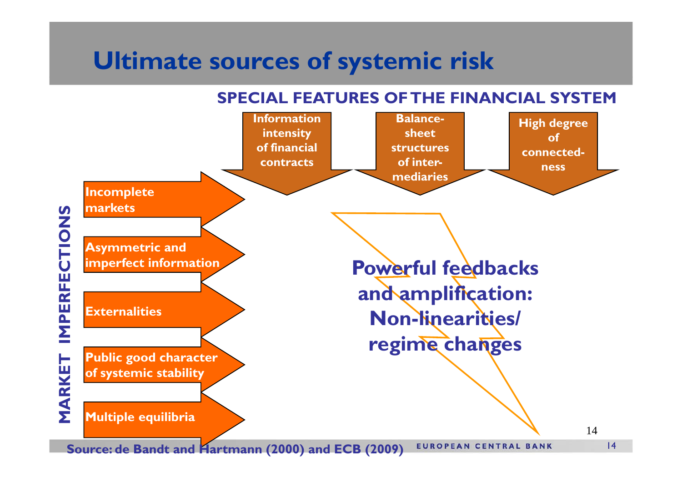## **Ultimate sources of systemic risk**

**SPECIAL FEATURES OF THE FINANCIAL SYSTEM**

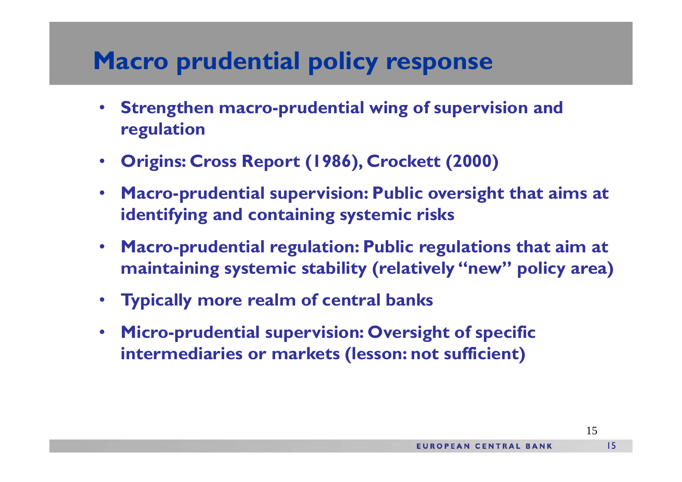## **Macro prudential policy response**

- $\bullet$  **Strengthen macro-prudential wing of supervision and regulation**
- **Origins: Cross Report (1986), Crockett (2000)**
- • **Macro-prudential supervision: Public oversight that aims at identifying and containing systemic risks**
- Macro-prudential regulation: Public regulations that aim at **maintaining systemic stability (relatively "new" policy area)**
- **T i ll l f t l b k Typicall y more realm of cen tral ban s**
- • **Micro-prudential supervision: Oversight of specific**  intermediaries or markets (lesson: not sufficient)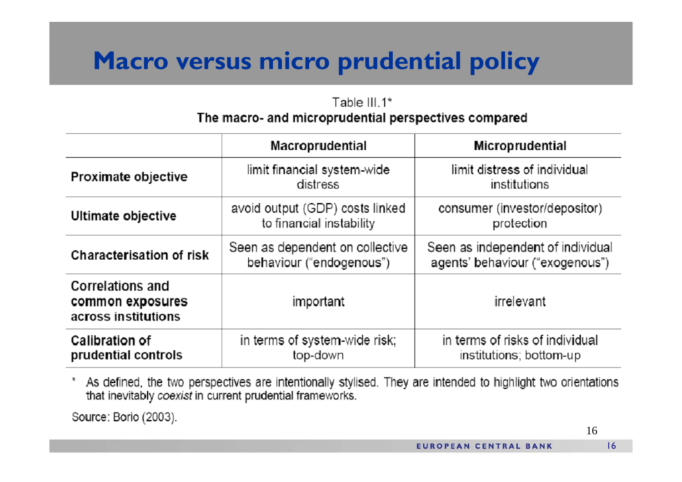## **Macro versus micro prudential policy**

#### Table III.1\* The macro- and microprudential perspectives compared

|                                                                    | <b>Macroprudential</b>                                      | Microprudential                                                      |
|--------------------------------------------------------------------|-------------------------------------------------------------|----------------------------------------------------------------------|
| Proximate objective                                                | limit financial system-wide<br>distress                     | limit distress of individual<br>institutions                         |
| Ultimate objective                                                 | avoid output (GDP) costs linked<br>to financial instability | consumer (investor/depositor)<br>protection                          |
| <b>Characterisation of risk</b>                                    | Seen as dependent on collective<br>behaviour ("endogenous") | Seen as independent of individual<br>agents' behaviour ("exogenous") |
| <b>Correlations and</b><br>common exposures<br>across institutions | important                                                   | irrelevant                                                           |
| Calibration of<br>prudential controls                              | in terms of system-wide risk;<br>top-down                   | in terms of risks of individual<br>institutions; bottom-up           |

As defined, the two perspectives are intentionally stylised. They are intended to highlight two orientations x that inevitably coexist in current prudential frameworks.

Source: Borio (2003).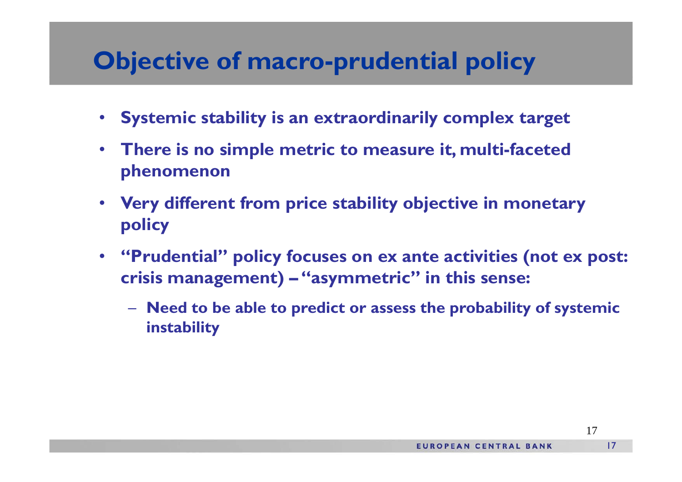### **Objective of macro-prudential policy**

- **Systemic stability is an extraordinarily complex target**
- **There is no simple metric to measure it, multi-faceted phenomenon**
- **Very different from price stability objective in monetary policy**
- $\bullet$  **"Prudential" policy focuses on ex ante activities (not ex post: crisis management) – "asymmetric" in this sense:**
	- **Need to be able to predict or assess the probability of systemic instability**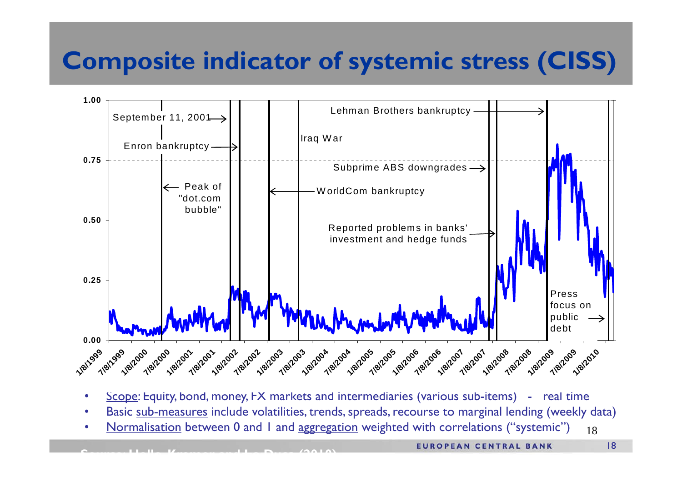## **Composite indicator of systemic stress (CISS)**



•Scope: Equity, bond, money, FX markets and intermediaries (various sub-items) - real time

- •Basic <u>sub-measures</u> include volatilities, trends, spreads, recourse to marginal lending (weekly data)
- 18•<u>Normalisation</u> between 0 and 1 and <u>aggregation</u> weighted with correlations ("systemic")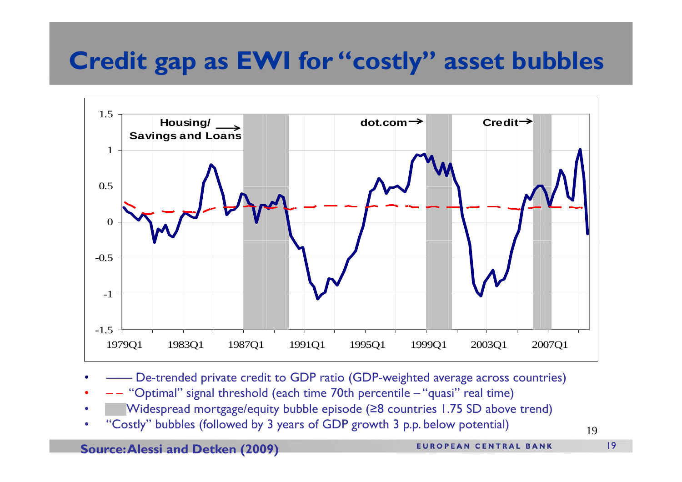## **Credit gap as EWI for "costly" asset bubbles**



- •—— De-trended private credit to GDP ratio (GDP-weighted average across countries)
- •–– "Optimal" signal threshold (each time 70th percentile – "quasi" real time)
- Nidespread mortgage/equity bubble episode (≥8 countries 1.75 SD above trend)<br>• "Costly" bubbles (followed by 3 years of GDP growth 3 p.p. below potential) •
- "Costly" bubbles (followed by 3 years of GDP growth 3 p.p. below potential)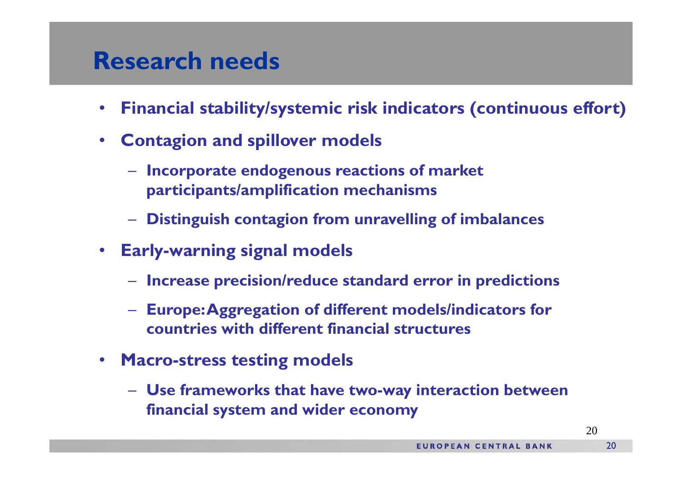#### **Research needs**

- $\bullet$ **Financial stability/systemic risk indicators (continuous effort)**
- **Contagion and spillover models**
	- **Incorporate endogenous reactions of market parti i <sup>t</sup> / lifi ti h i ticipants/amplification mechanisms**
	- **Distinguish contagion from unravelling of imbalances**
- • **Early-warning signal models**
	- **Increase precision/reduce standard error in predictions**
	- **Europe: Aggregation of different models/indicators for countries with different financial structures**
- $\bullet$  **Macro-stress testing models**
	- **Use frameworks that have two-way interaction between fi i l d id financial system and wider economy**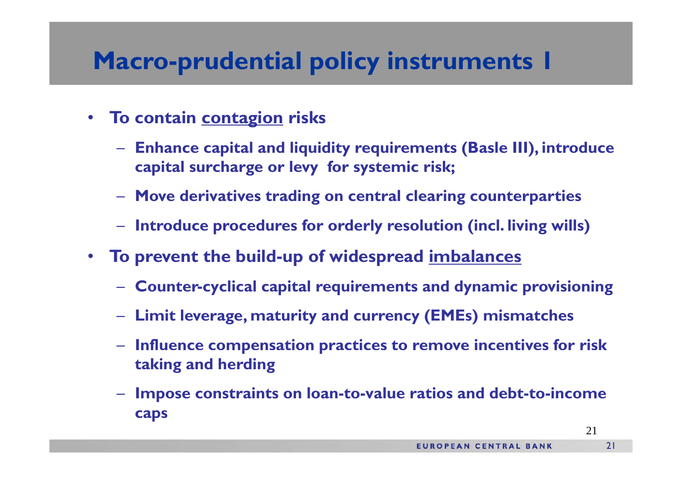## **Macro-prudential policy instruments 1**

- $\bullet$  **To contain contagion risks**
	- – **Enhance capital and liquidity requirements (Basle III), introduce capital surcharge or levy for systemic risk;**
	- **Move derivatives trading on central clearing counterparties**
	- **Introduce procedures for orderly resolution (incl. living wills)**
- • **To prevent the build-up of widespread imbalances**
	- **Counter-cyclical capital requirements and dynamic provisioning**
	- –**Limit leverage, maturity and currency (EMEs) mismatches**
	- **Influence com p p ensation practices to remove incentives for risk taking and herding**
	- **Impose constraints on loan-to-value ratios and debt-to-income caps**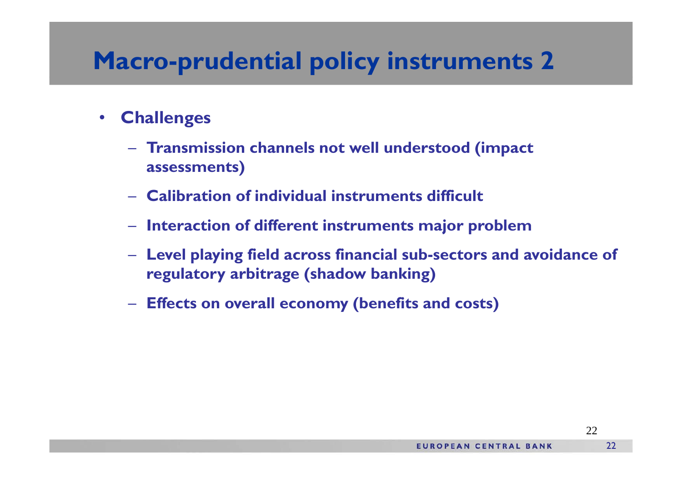## **Macro-prudential policy instruments 2**

- $\bullet$  **Challenges**
	- **Transmission channels not well understood (impact assessments)**
	- **Calibration of individual instruments difficult**
	- **Interaction of different instruments major problem**
	- **Level playing field across financial sub-sectors and avoidance of regulatory arbitrage (shadow banking)**
	- **Effects on overall economy (benefits and costs)**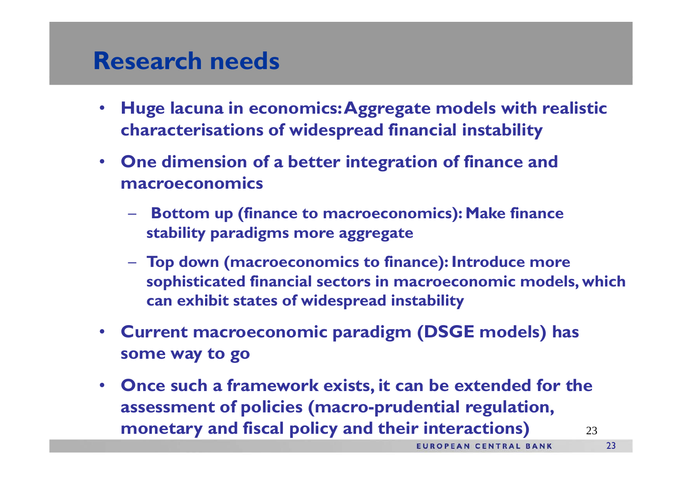#### **Research needs**

- $\bullet$  **Huge lacuna in economics: Aggregate models with realistic characterisations of widespread financial instability**
- **One dimension of a better integration of finance and macroeconomics**
	- **Bottom up (finance to macroeconomics): Make finance stability p g gg g paradigms more aggregate**
	- **Top down (macroeconomics to finance): Introduce more sophisticated financial sectors in macroeconomic models, which can hibi f id d i bili exhibit states of widespread instability**
- **Current macroeconomic paradigm (DSGE models) has some way to go**
- **Once such a framework exists, it can be extended for the assessment of policies (macro prudential regulation -prudential regulation,** 23**monetary and fiscal policy and their interactions)**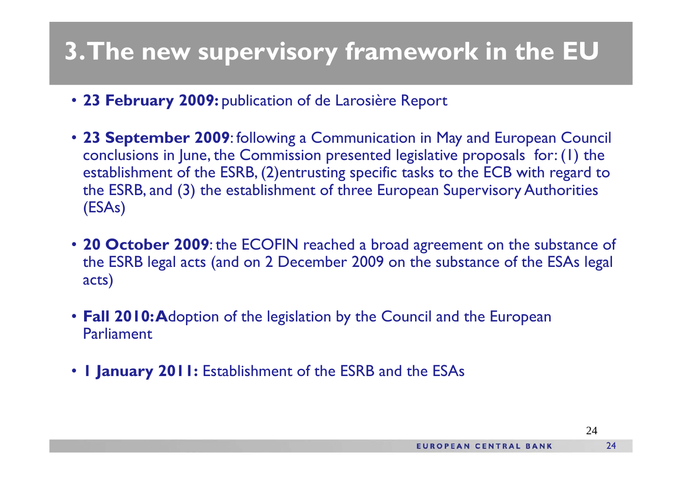## **3. The new supervisory framework in the EU**

- **23 February 2009:** publication of de Larosière Report
- 23 September 2009: following a Communication in May and European Council conclusions in June, the Commission presented legislative proposals for: (1) the establishment of the ESRB, (2)entrusting specific tasks to the ECB with regard to the ESRB, and (3) the establishment of three European Supervisory Authorities (ESAs)
- 20 October 2009: the ECOFIN reached a broad agreement on the substance of the ESRB legal acts (and on 2 December 2009 on the substance of the ESAs legal acts)
- **Fall 2010: A**doption of the legislation by the Council and the European Parliament
- **1 January 2011:** Establishment of the ESRB and the ESAs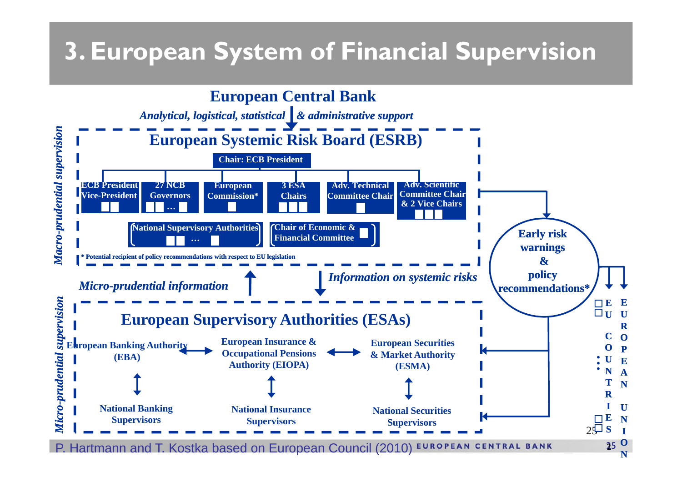## **3. European System of Financial Supervision**

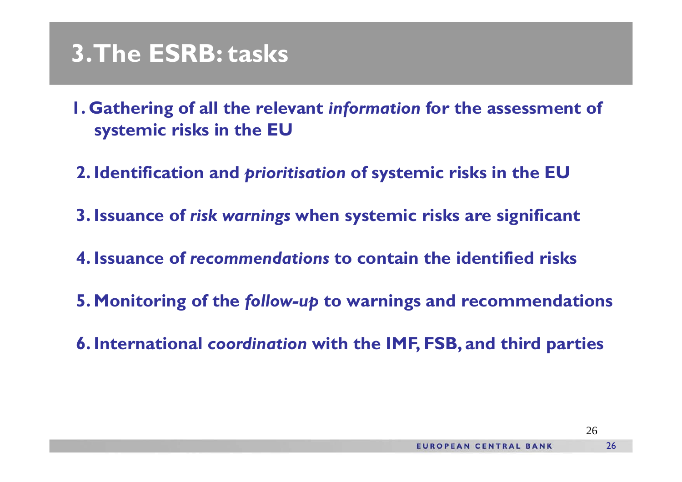#### **3. The ESRB: tasks**

- **1. Gathering of all the relevant** *information* **for the assessment of systemic risks in the EU**
- **2. Identification and** *prioritisation* **of systemic risks in the EU**
- **3. Issuance of** *risk warnings* **when systemic risks are significant**
- **4. Issuance of** *recommendations* **to contain the identified risks**
- **5. Monitoring of the follow-up to warnings and recommendations**
- **6. International coordination with the IMF, FSB, and third parties**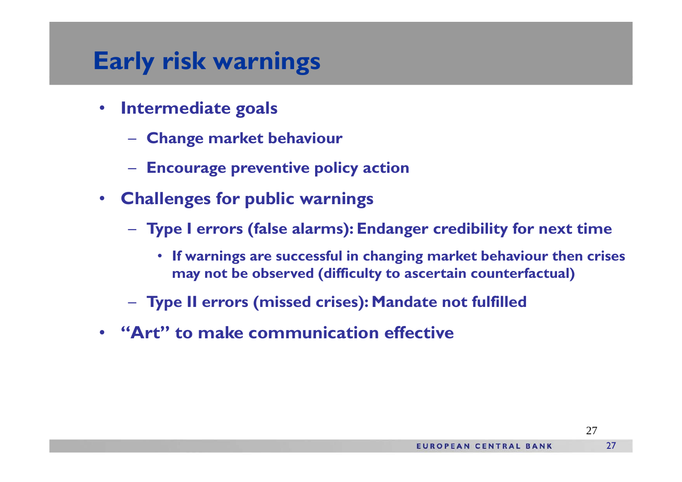#### **Early risk warnings**

- $\bullet$  **Intermediate goals**
	- **Change market behaviou r**
	- **Encourage preventive policy action**
- **Challenges for public warnings**
	- **Type I errors (false alarms): Endanger credibility for next time**
		- **If warnings are successful in changing market behaviour then crises may not be observed (difficulty to ascertain counterfactual)**
	- **Type II errors (missed crises): Mandate not fulfilled**
- **"Art" to make communication effective**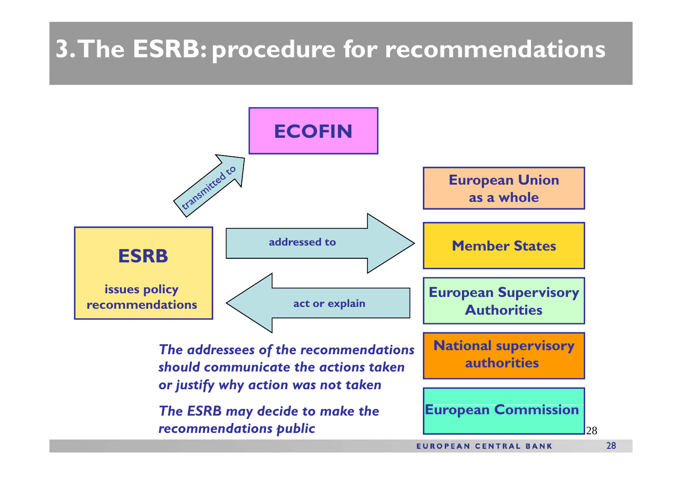## **3. The ESRB: procedure for recommendations**

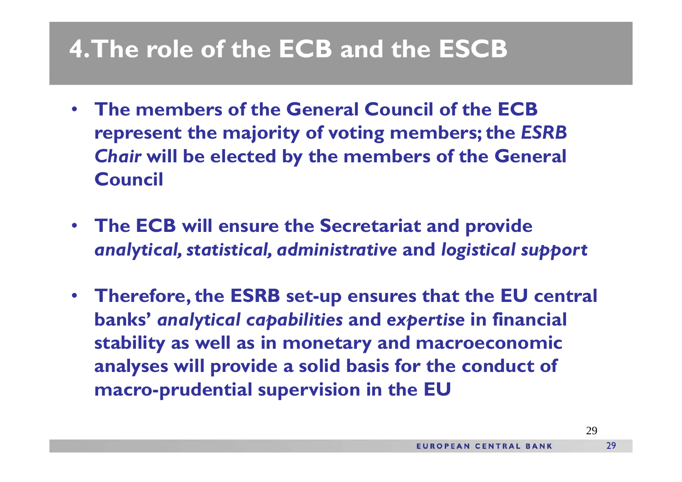## **4. The role of the ECB and the ESCB**

- • **The members of the General Council of the ECB represent the majority of voting members; the** *ESRB Chair* **will be elected by the members of the General Council**
- **The ECB will ensure the Secretariat and provide**  *analytical, statistical, administrative* **and** *logistical support*
- $\bullet$ **• Therefore, the ESRB set-up ensures that the EU central banks'** *analytical capabilities* **and** *expertise* **in financial stabilit y y as well as in monetar y and macroeconomic analyses will provide a solid basis for the conduct of macro-prudential supervision in the EU**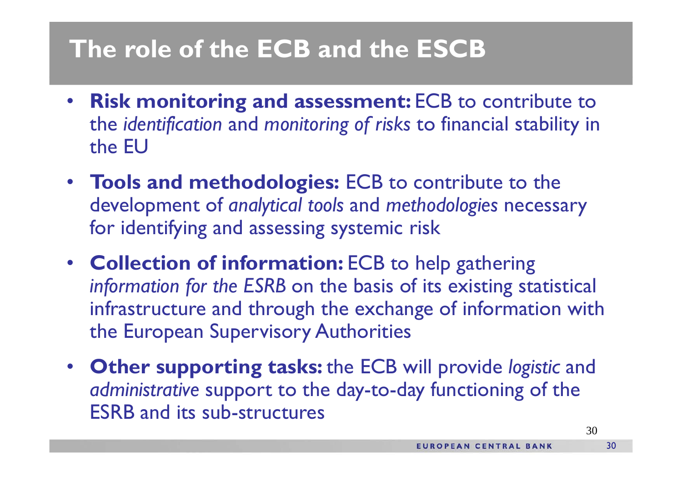## **The role of the ECB and the ESCB**

- • **Risk monitoring and assessment:** ECB to contribute to the *identi fication* and *monitorin g f o f risks* to financial stabilit y in the EU
- **Tools and methodologies:** ECB to contribute to the development of *analytical tools* and *methodologies* necessary for identifying and assessing systemic risk
- **Collection of information:** ECB to help gathering *in f f ormation for the ESRB* on the basis of its existin g statistical infrastructure and through the exchange of information with the European Supervisory Authorities
- **Other supporting tasks:** the ECB will provide *logistic* and *administrative* support to the day-to-day functioning of the ESRB and its sub-structures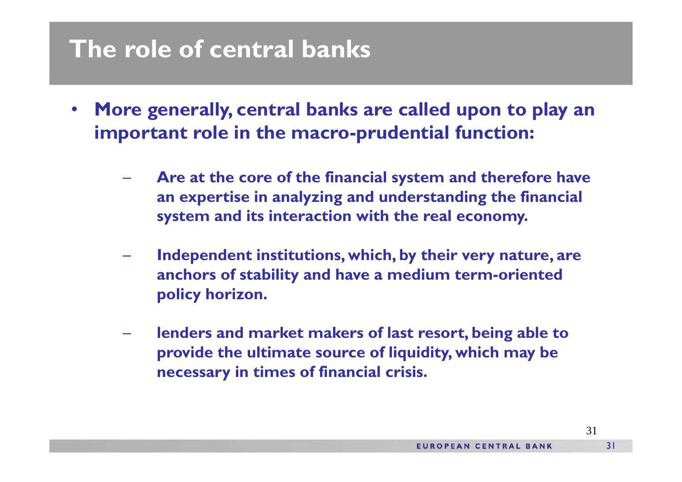#### **The role of central banks**

- • **More generally, central banks are called upon to play an important role in the macro -prudential function:** 
	- **Are at the core of the financial system and therefore have an expertise in analyzing and understanding the financial system and its interaction with the real economy.**
	- **Independent institutions, which, by their very nature, are anchors of stability and have a medium term-oriented policy horizon horizon.**
	- **lenders and market makers of last resort, being able to**  provide the ultimate source of liquidity, which may be **necessary in times of financial crisis.**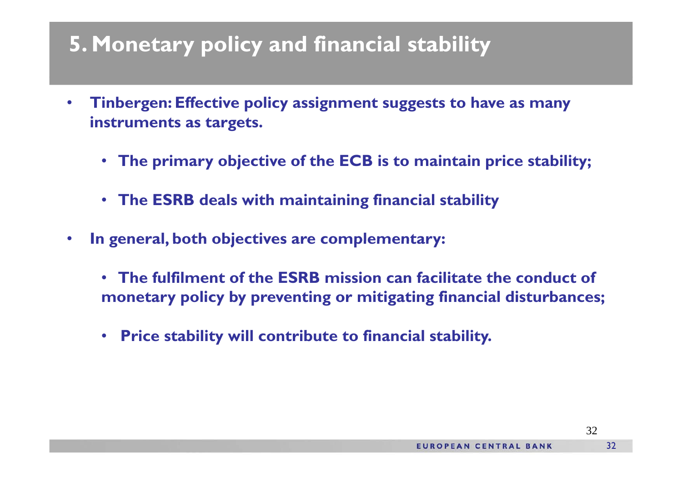#### **5. Monetary policy and financial stability**

- • **Tinbergen: Effective policy assignment suggests to have as many instruments as targets.**
	- **The primary objective of the ECB is to maintain price stability;**
	- **The ESRB deals with maintaining financial stability**
- • **In general both objectives are complementary: general,** 
	- **The fulfilment of the ESRB mission can facilitate the conduct of monetary policy by preventing or mitigating financial disturbances;**
	- **Price stability will contribute to financial stability.**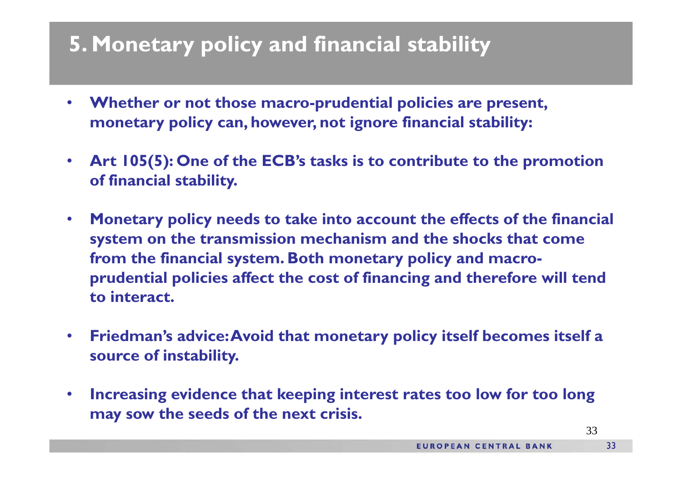#### **5. Monetary policy and financial stability**

- $\bullet$  **Whether or not those macro-prudential policies are present, monetary policy can, however, not ignore financial stability:**
- $\bullet$  **Art 105(5): One of the ECB's tasks is to contribute to the promotion of financial stabilit y.**
- $\bullet$  **Monetary policy needs to take into account the effects of the financial system on the transmission mechanism and the shocks that come from the financial system. Both monetary policy and macroprudential policies affect the cost of financing and therefore will tend to interact interact.**
- $\bullet$  **Friedman's advice: Avoid that monetary policy itself becomes itself a source f i bili of instability.**
- • **Increasing evidence that keeping interest rates too low for too long may sow the seeds of the next crisis.**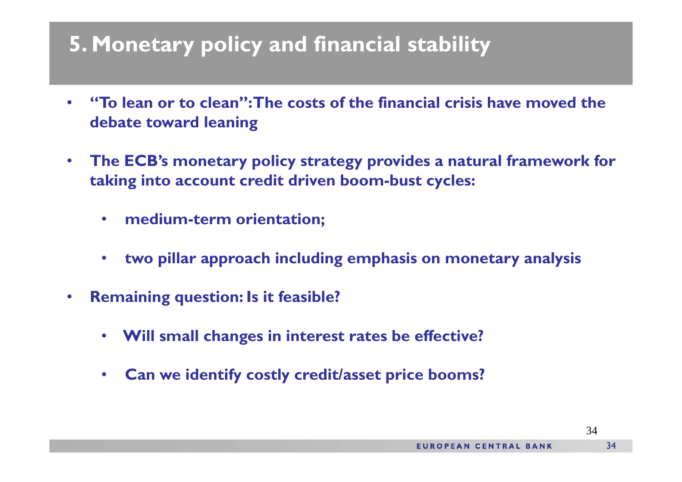#### **5. Monetary policy and financial stability**

- • **"To lean or to clean": The costs of the financial crisis have moved the debate toward leaning**
- $\bullet$  **The ECB's monetary policy strategy provides a natural framework for takin g into account credit driven boom-bust c ycles:**
	- $\bullet$ **medium-term orientation;**
	- $\bullet$ **two pillar approach including emphasis on monetary analysis**
- • **Remaining question: Is it feasible?**
	- **Will small changes in interest rates be effective?**
	- •**Can we identify costly credit/asset price booms?**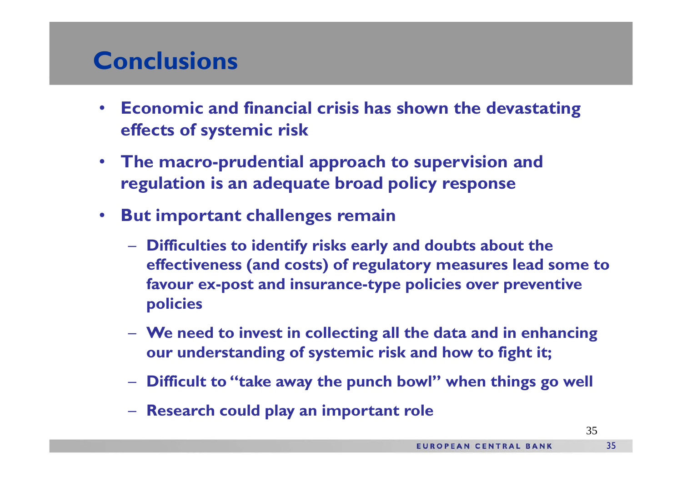#### **Conclusions**

- • **Economic and financial crisis has shown the devastating effects of systemic risk**
- **The macro-prudential approach to supervision and regulation is an adequate broad policy response**
- • **But important challenges remain**
	- Difficulties to identify risks early and doubts about the **effectiveness (and costs) of regulatory measures lead some to favour ex-post and insurance-type policies over preventive policies**
	- **We need to invest in collecting all the data and in enhancing our understanding of systemic risk and how to fight it;**
	- **Difficult to "take away the punch bowl" when things go well**
	- $-$  Research could play an important rol **Research could play an important role**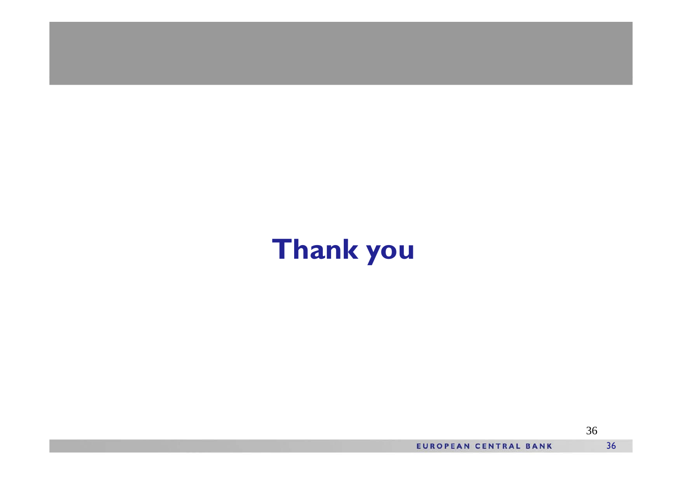# **Th kan you**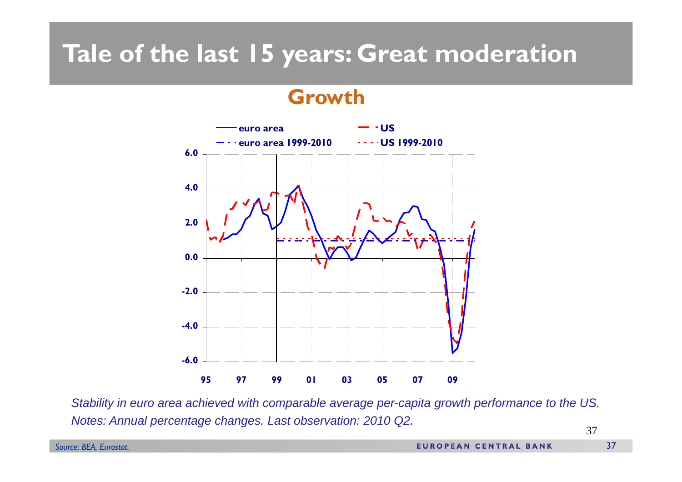## **Tale of the last 15 years: Great moderation**

#### **Growth**



Stability in euro area achieved with comparable average per-capita growth performance to the US. *Notes: Annual percentage changes. Last observation: 2010 Q2.*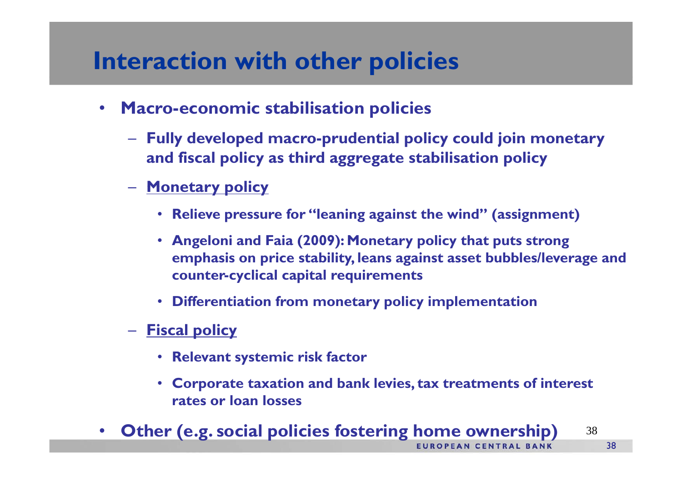#### **Interaction with other policies**

- $\bullet$  **Macro-economic stabilisation policies**
	- **Fully developed macro-prudential policy could join monetary and fiscal policy as third aggregate stabilisation policy**
	- **Monetary policy**
		- **Relieve pressure for "leaning against the wind" (assignment)**
		- **Angeloni and Faia (2009): Monetary policy that puts strong emphasis on price stability, leans against asset bubbles/leverage and counter-cyclical capital requirements**
		- **Differentiation from monetary policy implementation**
	- $\mathcal{L}_{\mathcal{A}}$  **Fiscal policy**
		- **Relevant systemic risk facto r**
		- **Corporate taxation and bank levies, tax treatments of interest rates or loan losses**
- **Other (e.g. social policies fostering home ownership)** <sup>38</sup>•**EUROPEAN CENTRAL BANK**